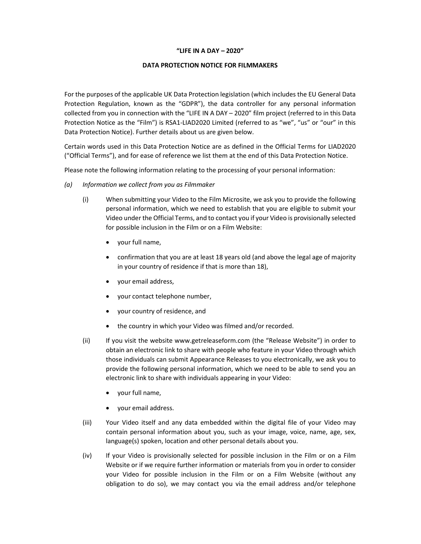## "LIFF IN A DAY  $-$  2020"

## DATA PROTECTION NOTICE FOR FILMMAKERS

For the purposes of the applicable UK Data Protection legislation (which includes the EU General Data Protection Regulation, known as the "GDPR"), the data controller for any personal information collected from you in connection with the "LIFE IN A DAY – 2020" film project (referred to in this Data Protection Notice as the "Film") is RSA1-LIAD2020 Limited (referred to as "we", "us" or "our" in this Data Protection Notice). Further details about us are given below.

Certain words used in this Data Protection Notice are as defined in the Official Terms for LIAD2020 ("Official Terms"), and for ease of reference we list them at the end of this Data Protection Notice.

Please note the following information relating to the processing of your personal information:

- (a) Information we collect from you as Filmmaker
	- (i) When submitting your Video to the Film Microsite, we ask you to provide the following personal information, which we need to establish that you are eligible to submit your Video under the Official Terms, and to contact you if your Video is provisionally selected for possible inclusion in the Film or on a Film Website:
		- your full name,
		- confirmation that you are at least 18 years old (and above the legal age of majority in your country of residence if that is more than 18),
		- your email address,
		- your contact telephone number,
		- your country of residence, and
		- the country in which your Video was filmed and/or recorded.
	- (ii) If you visit the website www.getreleaseform.com (the "Release Website") in order to obtain an electronic link to share with people who feature in your Video through which those individuals can submit Appearance Releases to you electronically, we ask you to provide the following personal information, which we need to be able to send you an electronic link to share with individuals appearing in your Video:
		- your full name,
		- your email address.
	- (iii) Your Video itself and any data embedded within the digital file of your Video may contain personal information about you, such as your image, voice, name, age, sex, language(s) spoken, location and other personal details about you.
	- (iv) If your Video is provisionally selected for possible inclusion in the Film or on a Film Website or if we require further information or materials from you in order to consider your Video for possible inclusion in the Film or on a Film Website (without any obligation to do so), we may contact you via the email address and/or telephone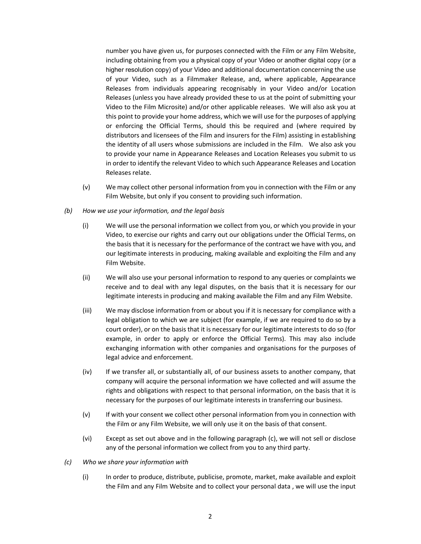number you have given us, for purposes connected with the Film or any Film Website, including obtaining from you a physical copy of your Video or another digital copy (or a higher resolution copy) of your Video and additional documentation concerning the use of your Video, such as a Filmmaker Release, and, where applicable, Appearance Releases from individuals appearing recognisably in your Video and/or Location Releases (unless you have already provided these to us at the point of submitting your Video to the Film Microsite) and/or other applicable releases. We will also ask you at this point to provide your home address, which we will use for the purposes of applying or enforcing the Official Terms, should this be required and (where required by distributors and licensees of the Film and insurers for the Film) assisting in establishing the identity of all users whose submissions are included in the Film. We also ask you to provide your name in Appearance Releases and Location Releases you submit to us in order to identify the relevant Video to which such Appearance Releases and Location Releases relate.

(v) We may collect other personal information from you in connection with the Film or any Film Website, but only if you consent to providing such information.

## (b) How we use your information, and the legal basis

- (i) We will use the personal information we collect from you, or which you provide in your Video, to exercise our rights and carry out our obligations under the Official Terms, on the basis that it is necessary for the performance of the contract we have with you, and our legitimate interests in producing, making available and exploiting the Film and any Film Website.
- (ii) We will also use your personal information to respond to any queries or complaints we receive and to deal with any legal disputes, on the basis that it is necessary for our legitimate interests in producing and making available the Film and any Film Website.
- (iii) We may disclose information from or about you if it is necessary for compliance with a legal obligation to which we are subject (for example, if we are required to do so by a court order), or on the basis that it is necessary for our legitimate interests to do so (for example, in order to apply or enforce the Official Terms). This may also include exchanging information with other companies and organisations for the purposes of legal advice and enforcement.
- (iv) If we transfer all, or substantially all, of our business assets to another company, that company will acquire the personal information we have collected and will assume the rights and obligations with respect to that personal information, on the basis that it is necessary for the purposes of our legitimate interests in transferring our business.
- (v) If with your consent we collect other personal information from you in connection with the Film or any Film Website, we will only use it on the basis of that consent.
- (vi) Except as set out above and in the following paragraph (c), we will not sell or disclose any of the personal information we collect from you to any third party.
- (c) Who we share your information with
	- (i) In order to produce, distribute, publicise, promote, market, make available and exploit the Film and any Film Website and to collect your personal data , we will use the input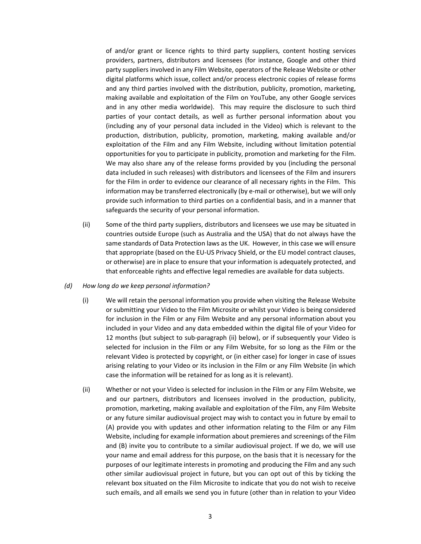of and/or grant or licence rights to third party suppliers, content hosting services providers, partners, distributors and licensees (for instance, Google and other third party suppliers involved in any Film Website, operators of the Release Website or other digital platforms which issue, collect and/or process electronic copies of release forms and any third parties involved with the distribution, publicity, promotion, marketing, making available and exploitation of the Film on YouTube, any other Google services and in any other media worldwide). This may require the disclosure to such third parties of your contact details, as well as further personal information about you (including any of your personal data included in the Video) which is relevant to the production, distribution, publicity, promotion, marketing, making available and/or exploitation of the Film and any Film Website, including without limitation potential opportunities for you to participate in publicity, promotion and marketing for the Film. We may also share any of the release forms provided by you (including the personal data included in such releases) with distributors and licensees of the Film and insurers for the Film in order to evidence our clearance of all necessary rights in the Film. This information may be transferred electronically (by e-mail or otherwise), but we will only provide such information to third parties on a confidential basis, and in a manner that safeguards the security of your personal information.

- (ii) Some of the third party suppliers, distributors and licensees we use may be situated in countries outside Europe (such as Australia and the USA) that do not always have the same standards of Data Protection laws as the UK. However, in this case we will ensure that appropriate (based on the EU-US Privacy Shield, or the EU model contract clauses, or otherwise) are in place to ensure that your information is adequately protected, and that enforceable rights and effective legal remedies are available for data subjects.
- (d) How long do we keep personal information?
	- (i) We will retain the personal information you provide when visiting the Release Website or submitting your Video to the Film Microsite or whilst your Video is being considered for inclusion in the Film or any Film Website and any personal information about you included in your Video and any data embedded within the digital file of your Video for 12 months (but subject to sub-paragraph (ii) below), or if subsequently your Video is selected for inclusion in the Film or any Film Website, for so long as the Film or the relevant Video is protected by copyright, or (in either case) for longer in case of issues arising relating to your Video or its inclusion in the Film or any Film Website (in which case the information will be retained for as long as it is relevant).
	- (ii) Whether or not your Video is selected for inclusion in the Film or any Film Website, we and our partners, distributors and licensees involved in the production, publicity, promotion, marketing, making available and exploitation of the Film, any Film Website or any future similar audiovisual project may wish to contact you in future by email to (A) provide you with updates and other information relating to the Film or any Film Website, including for example information about premieres and screenings of the Film and (B) invite you to contribute to a similar audiovisual project. If we do, we will use your name and email address for this purpose, on the basis that it is necessary for the purposes of our legitimate interests in promoting and producing the Film and any such other similar audiovisual project in future, but you can opt out of this by ticking the relevant box situated on the Film Microsite to indicate that you do not wish to receive such emails, and all emails we send you in future (other than in relation to your Video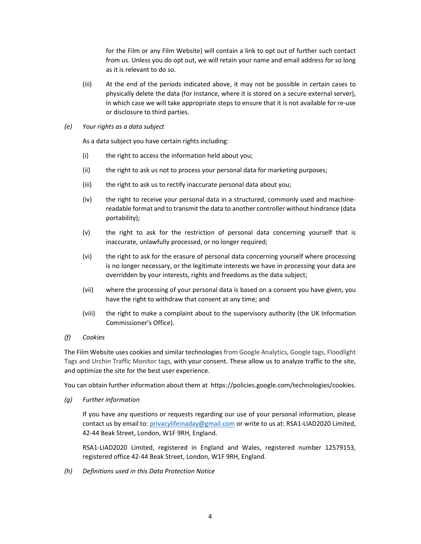for the Film or any Film Website) will contain a link to opt out of further such contact from us. Unless you do opt out, we will retain your name and email address for so long as it is relevant to do so.

- (iii) At the end of the periods indicated above, it may not be possible in certain cases to physically delete the data (for instance, where it is stored on a secure external server), in which case we will take appropriate steps to ensure that it is not available for re-use or disclosure to third parties.
- (e) Your rights as a data subject

As a data subject you have certain rights including:

- (i) the right to access the information held about you;
- (ii) the right to ask us not to process your personal data for marketing purposes;
- (iii) the right to ask us to rectify inaccurate personal data about you;
- (iv) the right to receive your personal data in a structured, commonly used and machinereadable format and to transmit the data to another controller without hindrance (data portability);
- (v) the right to ask for the restriction of personal data concerning yourself that is inaccurate, unlawfully processed, or no longer required;
- (vi) the right to ask for the erasure of personal data concerning yourself where processing is no longer necessary, or the legitimate interests we have in processing your data are overridden by your interests, rights and freedoms as the data subject;
- (vii) where the processing of your personal data is based on a consent you have given, you have the right to withdraw that consent at any time; and
- (viii) the right to make a complaint about to the supervisory authority (the UK Information Commissioner's Office).

## (f) Cookies

The Film Website uses cookies and similar technologies from Google Analytics, Google tags, Floodlight Tags and Urchin Traffic Monitor tags, with your consent. These allow us to analyze traffic to the site, and optimize the site for the best user experience.

You can obtain further information about them at https://policies.google.com/technologies/cookies.

(g) Further information

If you have any questions or requests regarding our use of your personal information, please contact us by email to: privacylifeinaday@gmail.com or write to us at: RSA1-LIAD2020 Limited, 42-44 Beak Street, London, W1F 9RH, England.

RSA1-LIAD2020 Limited, registered in England and Wales, registered number 12579153, registered office 42-44 Beak Street, London, W1F 9RH, England.

(h) Definitions used in this Data Protection Notice